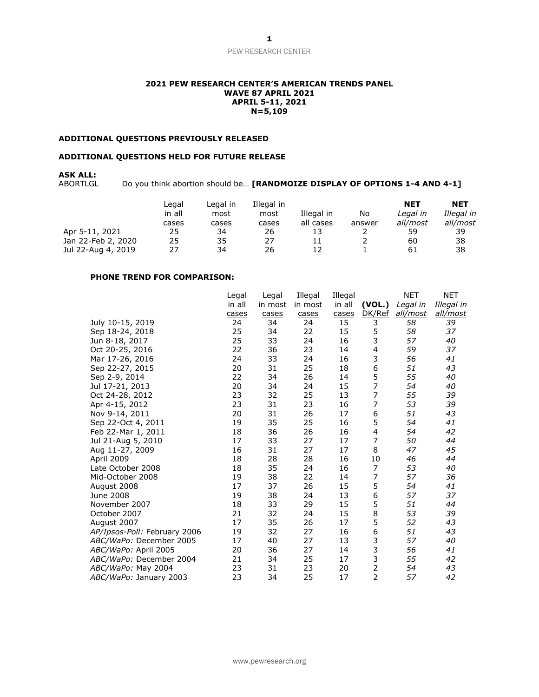# PEW RESEARCH CENTER

#### **2021 PEW RESEARCH CENTER'S AMERICAN TRENDS PANEL WAVE 87 APRIL 2021 APRIL 5-11, 2021 N=5,109**

## **ADDITIONAL QUESTIONS PREVIOUSLY RELEASED**

#### **ADDITIONAL QUESTIONS HELD FOR FUTURE RELEASE**

# **ASK ALL:**

Do you think abortion should be... [RANDMOIZE DISPLAY OF OPTIONS 1-4 AND 4-1]

|                    | ∟egal<br>in all<br><u>cases</u> | Leaal in<br>most<br>cases | Illegal in<br>most<br><u>cases</u> | Illegal in<br>all cases | No<br>answer | <b>NET</b><br>Legal in<br><u>all/most</u> | <b>NET</b><br>Illegal in<br><u>all/most</u> |
|--------------------|---------------------------------|---------------------------|------------------------------------|-------------------------|--------------|-------------------------------------------|---------------------------------------------|
| Apr 5-11, 2021     | 25                              | 34                        | 26                                 | 13                      | ∠            | 59                                        | 39                                          |
| Jan 22-Feb 2, 2020 | 25                              | 35                        | 27                                 | 11                      |              | 60                                        | 38                                          |
| Jul 22-Aug 4, 2019 | 27                              | 34                        | 26                                 | 12                      |              | 61                                        | 38                                          |

## **PHONE TREND FOR COMPARISON:**

|                              | Legal  | Legal   | Illegal | Illegal |                | NET             | NET        |
|------------------------------|--------|---------|---------|---------|----------------|-----------------|------------|
|                              | in all | in most | in most | in all  | (VOL.)         | Legal in        | Illegal in |
|                              | cases  | cases   | cases   | cases   | DK/Ref         | <u>all/most</u> | all/most   |
| July 10-15, 2019             | 24     | 34      | 24      | 15      | 3              | 58              | 39         |
| Sep 18-24, 2018              | 25     | 34      | 22      | 15      | 5              | 58              | 37         |
| Jun 8-18, 2017               | 25     | 33      | 24      | 16      | 3              | 57              | 40         |
| Oct 20-25, 2016              | 22     | 36      | 23      | 14      | 4              | 59              | 37         |
| Mar 17-26, 2016              | 24     | 33      | 24      | 16      | 3              | 56              | 41         |
| Sep 22-27, 2015              | 20     | 31      | 25      | 18      | 6              | 51              | 43         |
| Sep 2-9, 2014                | 22     | 34      | 26      | 14      | 5              | 55              | 40         |
| Jul 17-21, 2013              | 20     | 34      | 24      | 15      | $\overline{7}$ | 54              | 40         |
| Oct 24-28, 2012              | 23     | 32      | 25      | 13      | 7              | 55              | 39         |
| Apr 4-15, 2012               | 23     | 31      | 23      | 16      | 7              | 53              | 39         |
| Nov 9-14, 2011               | 20     | 31      | 26      | 17      | 6              | 51              | 43         |
| Sep 22-Oct 4, 2011           | 19     | 35      | 25      | 16      | 5              | 54              | 41         |
| Feb 22-Mar 1, 2011           | 18     | 36      | 26      | 16      | 4              | 54              | 42         |
| Jul 21-Aug 5, 2010           | 17     | 33      | 27      | 17      | 7              | 50              | 44         |
| Aug 11-27, 2009              | 16     | 31      | 27      | 17      | 8              | 47              | 45         |
| April 2009                   | 18     | 28      | 28      | 16      | 10             | 46              | 44         |
| Late October 2008            | 18     | 35      | 24      | 16      | 7              | 53              | 40         |
| Mid-October 2008             | 19     | 38      | 22      | 14      | 7              | 57              | 36         |
| August 2008                  | 17     | 37      | 26      | 15      | 5              | 54              | 41         |
| June 2008                    | 19     | 38      | 24      | 13      | 6              | 57              | 37         |
| November 2007                | 18     | 33      | 29      | 15      | 5              | 51              | 44         |
| October 2007                 | 21     | 32      | 24      | 15      | 8              | 53              | 39         |
| August 2007                  | 17     | 35      | 26      | 17      | 5              | 52              | 43         |
| AP/Ipsos-Poll: February 2006 | 19     | 32      | 27      | 16      | 6              | 51              | 43         |
| ABC/WaPo: December 2005      | 17     | 40      | 27      | 13      | 3              | 57              | 40         |
| ABC/WaPo: April 2005         | 20     | 36      | 27      | 14      | 3              | 56              | 41         |
| ABC/WaPo: December 2004      | 21     | 34      | 25      | 17      | 3              | 55              | 42         |
| ABC/WaPo: May 2004           | 23     | 31      | 23      | 20      | $\overline{2}$ | 54              | 43         |
| ABC/WaPo: January 2003       | 23     | 34      | 25      | 17      | $\overline{2}$ | 57              | 42         |
|                              |        |         |         |         |                |                 |            |